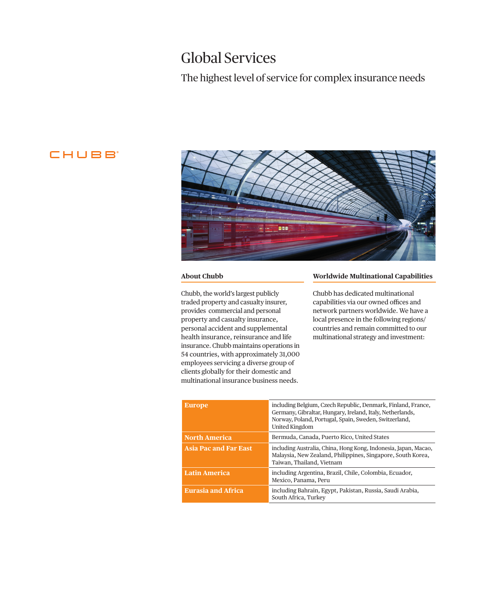## Global Services

## The highest level of service for complex insurance needs

## **CHUBB**



#### **About Chubb**

Chubb, the world's largest publicly traded property and casualty insurer, provides commercial and personal property and casualty insurance, personal accident and supplemental health insurance, reinsurance and life insurance. Chubb maintains operations in 54 countries, with approximately 31,000 employees servicing a diverse group of clients globally for their domestic and multinational insurance business needs.

#### **Worldwide Multinational Capabilities**

Chubb has dedicated multinational capabilities via our owned offices and network partners worldwide. We have a local presence in the following regions/ countries and remain committed to our multinational strategy and investment:

| <b>Europe</b>                | including Belgium, Czech Republic, Denmark, Finland, France,<br>Germany, Gibraltar, Hungary, Ireland, Italy, Netherlands,<br>Norway, Poland, Portugal, Spain, Sweden, Switzerland,<br><b>United Kingdom</b> |
|------------------------------|-------------------------------------------------------------------------------------------------------------------------------------------------------------------------------------------------------------|
| <b>North America</b>         | Bermuda, Canada, Puerto Rico, United States                                                                                                                                                                 |
| <b>Asia Pac and Far East</b> | including Australia, China, Hong Kong, Indonesia, Japan, Macao,<br>Malaysia, New Zealand, Philippines, Singapore, South Korea,<br>Taiwan, Thailand, Vietnam                                                 |
| <b>Latin America</b>         | including Argentina, Brazil, Chile, Colombia, Ecuador,<br>Mexico, Panama, Peru                                                                                                                              |
| <b>Eurasia and Africa</b>    | including Bahrain, Egypt, Pakistan, Russia, Saudi Arabia,<br>South Africa, Turkey                                                                                                                           |